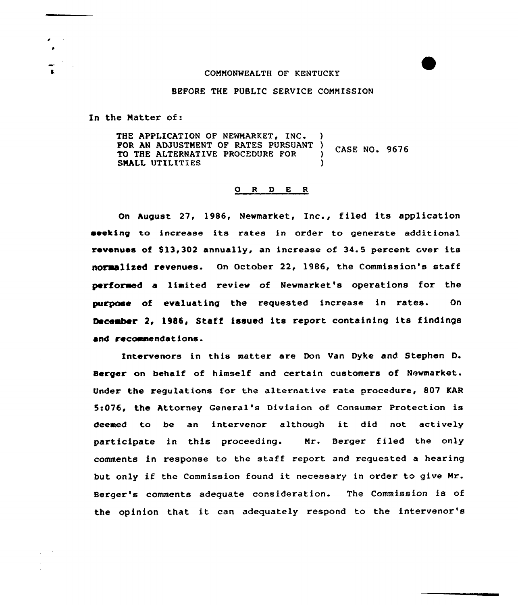## COMMONWEALTH OF KENTUCKY

#### BEFORE THE PUBLIC SERVICE COMMISSION

In the Matter of:

THE APPLICATION OF NEWMARKET, INC. FOR AN ADJUSTMENT OF RATES PURSUANT ) CASE NO. 9676<br>TO THE ALTERNATIVE PROCEDURE FOR ) CASE NO. 9676<br>SMALL UTILITIES SMALL UTILITIES

#### 0 <sup>R</sup> <sup>D</sup> E <sup>R</sup>

On August 27, 1986, Newmarket, Inc., filed its application seeking to increase its rates in order to generate additional revenues of \$13,302 annually, an increase of 34.5 percent over its normalized revenues. On October 22, 1986, the Commission's staff perforaed a liaited review of Newmarket's operations for the purpose of evaluating the requested increase in rates. On Oeceaber 2, 1986, Staff issued its report containing its findings and recommendations.

Intervenors in this matter are Don Van Dyke and Stephen D. Berger on behalf of himself and certain customers of Newmarket. Under the regulations for the alternative rate procedure, 807 KAR 5:076, the Attorney General's Division of Consumer Protection is deemed to be an intervenor although it did not actively participate in this proceeding. Mr. Berger filed the only comments in response to the staff report and requested a hearing but only if the Commission found it necessary in order to give Mr. Berger's comments adequate consideration. The Commission is of the opinion that it can adequately respond to the intervenor's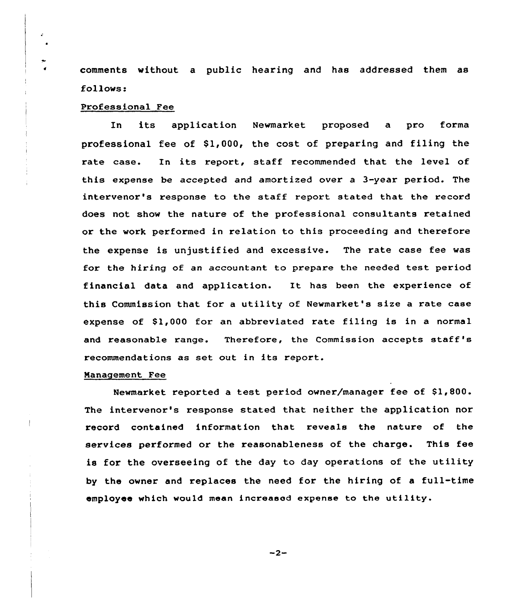comments without a public hearing and has addressed them as follows:

# Professional Fee

In its application Newmarket proposed a pro forma professional fee of  $$1,000$ , the cost of preparing and filing the rate case. In its report, staff recommended that the level of this expense be accepted and amortized over a 3-year period. The intervenor's response to the staff report stated that the record does not show the nature of the professional consultants retained or the work performed in relation to this proceeding and therefore the expense is unjustified and excessive. The rate case fee was for the hiring of an accountant to prepare the needed test period financial data and application. It has been the experience of this Commission that for a utility of Newmarket's size a rate case expense of \$1,000 for an abbreviated rate filing is in a normal and reasonable range. Therefore, the Commission accepts staff's recommendations as set out in its report.

## Management Fee

Newmarket reported a test period owner/manager fee of \$1,800. The intervenor's response stated that neither the application nor record contained information that reveals the nature of the services performed or the reasonableness of the charge. This fee is for the overseeing of the day to day operations of the utility by the owner and replaces the need for the hiring of a full-time employee which would mean increased expense to the utility.

 $-2-$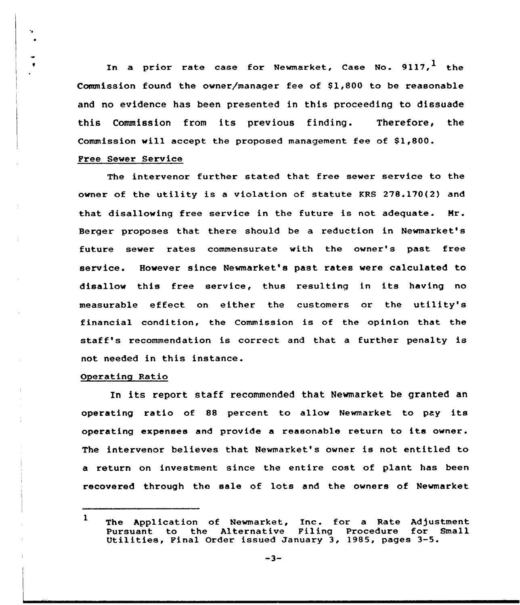In a prior rate case for Newmarket, Case No.  $9117$ , the Commission found the owner/manager fee of  $$1,800$  to be reasonable and no evidence has been presented in this proceeding to dissuade this Commission from its previous finding. Therefore, the Commission will accept the proposed management fee of  $$1,800$ .

# Pree Sewer Service

The intervenor further stated that free sewer service to the owner of the utility is a violation of statute KRS 278.170(2) and that disallowing free service in the future is not adequate. Nr. Berger proposes that there should be a reduction in Newmarket's future sewer rates commensurate with the owner's past free service. However since Newmarket's past rates were calculated to disallow this free service, thus resulting in its having no measurable effect on either the customers or the utility's financial condition, the Commission is of the opinion that the staff's recommendation is correct and that <sup>a</sup> further penalty is not needed in this instance.

# Operating Ratio

In its report staff recommended that Newmarket be granted an operating ratio of <sup>88</sup> percent to allow Newmarket to pay its operating expanses and provide <sup>a</sup> reasonable return to its owner. The intervenor believes that Newmarket's owner is not entitled to a return on investment since the entire cost of plant has been recovered through the sale of lots and the owners of Newmarket

<sup>1</sup> The Application of Newmarket, Inc. for a Rate Adjustment<br>Pursuant to the Alternative Filing Procedure for Small Utilities, Final Order issued January 3, 1985, pages 3-5.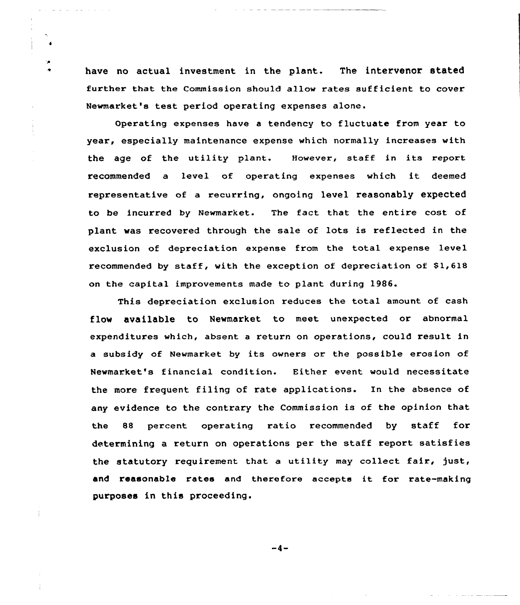have no actual investment in the plant. The intervenor stated further that the Commission should allow rates sufficient to cover Newmarket's test period operating expenses alone.

Operating expenses have a tendency to fluctuate from year to year, especially maintenance expense which normally increases with the age of the utility plant. However, staff in its report recommended <sup>a</sup> level of operating expenses which it deemed representative of a recurring, ongoing level reasonably expected to be incurred by Newmarket. The fact that the entire cost of plant was recovered through the sale of lots is reflected in the exclusion of depreciation expense from the total expense level recommended by staff, with the exception of depreciation of  $$1,618$ on the capital improvements made to plant during 1986.

This depreciation exclusion reduces the total amount of cash flow available to Newmarket to meet unexpected or abnormal expenditures which, absent a return on operations, could result in a subsidy of Newmarket by its owners or the possible erosion of Newmarket's financial condition. Either event would necessitate the more frequent filing of rate applications. In the absence of any evidence to the contrary the Commission is of the opinion that the 88 percent operating ratio recommended by staff for determining a return on operations per the staff report satisfies the statutory requirement that a utility may collect fair, just, and reasonable rates and therefore accepts it for rate-making purposes in this proceeding.

 $-4-$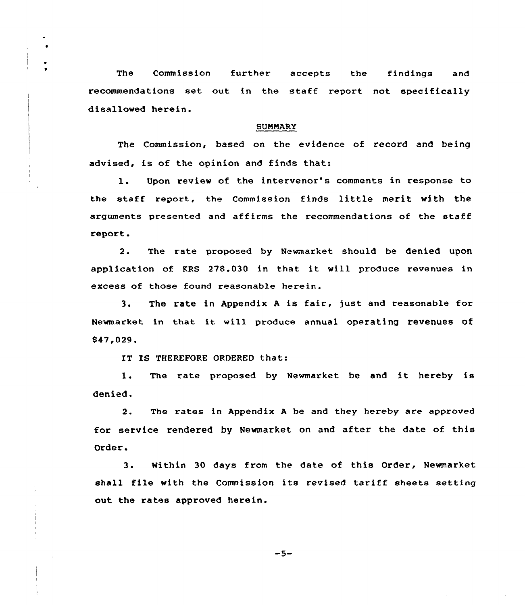The Commission further accepts the findings and recommendations set out in the staff report not specifically disallowed herein.

## **SUMMARY**

The Commission, based on the evidence of record and being advised, is of the opinion and finds that:

1. Upon review of the intervenor's comments in response to the staff report, the Commission finds little merit with the arguments presented and affirms the recommendations of the staff report.

2. The rate proposed by Newmarket should be denied upon application of KRS 278.030 in that it will produce revenues in excess of those found reasonable herein.

3. The rate in Appendix A is fair, just and reasonable for Newmarket in that it will produce annual operating revenues of 947,029.

IT IS THEREFORE ORDERED that:

1. The rate proposed by Newmarket be and it hereby is denied.

2. The rates in Appendix <sup>A</sup> be and they hereby are approved for service rendered by Newmarket on and after the date of this Order.

3. Within <sup>30</sup> days from the date of this Order, Newmarket shall file with the Commission its revised tariff sheets setting out the rates approved herein.

 $-5-$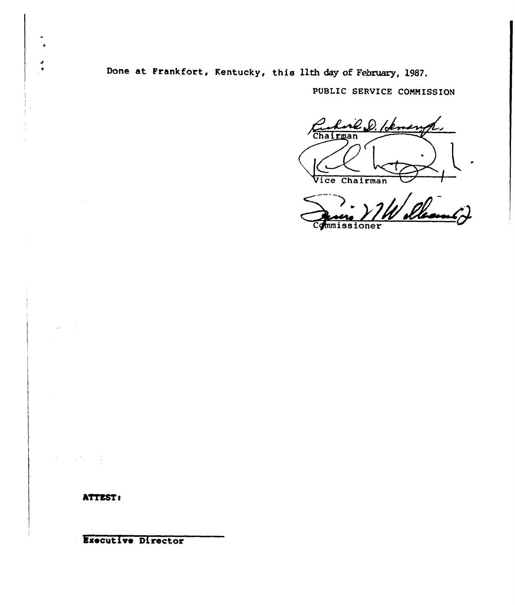Done at Frankfort, Kentucky, this 11th day of February, 1987.

PUBLIC SERVICE COMMISSION

I Vice Chairman Vice Cha

Qui VIW Deauf

**ATTEST:** 

Ixecutive Director